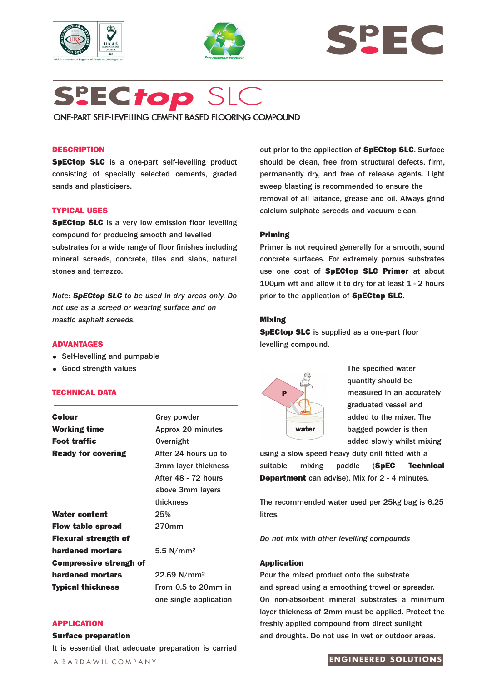





# **Sp EC***top* SLC

ONE-PART SELF-LEVELLING CEMENT BASED FLOORING COMPOUND

## **DESCRIPTION**

**SpECtop SLC** is a one-part self-levelling product consisting of specially selected cements, graded sands and plasticisers.

## **TYPICAL USES**

**SpECtop SLC** is a very low emission floor levelling compound for producing smooth and levelled substrates for a wide range of floor finishes including mineral screeds, concrete, tiles and slabs, natural stones and terrazzo.

*Note: SpECtop SLC to be used in dry areas only. Do not use as a screed or wearing surface and on mastic asphalt screeds.* 

## **ADVANTAGES**

- Self-levelling and pumpable
- Good strength values

#### **TECHNICAL DATA**

| <b>Colour</b>                 | Grey powder               |
|-------------------------------|---------------------------|
| <b>Working time</b>           | Approx 20 minutes         |
| <b>Foot traffic</b>           | Overnight                 |
| <b>Ready for covering</b>     | After 24 hours up to      |
|                               | 3mm layer thickness       |
|                               | After 48 - 72 hours       |
|                               | above 3mm layers          |
|                               | thickness                 |
| <b>Water content</b>          | 25%                       |
| <b>Flow table spread</b>      | 270mm                     |
| <b>Flexural strength of</b>   |                           |
| hardened mortars              | 5.5 $N/mm^2$              |
| <b>Compressive strengh of</b> |                           |
| hardened mortars              | $22.69$ N/mm <sup>2</sup> |
| <b>Typical thickness</b>      | From 0.5 to 20mm in       |
|                               | one single application    |

#### **APPLICATION**

#### **Surface preparation**

It is essential that adequate preparation is carried

A BARDAWIL COMPANY

out prior to the application of **SpECtop SLC**. Surface should be clean, free from structural defects, firm, permanently dry, and free of release agents. Light sweep blasting is recommended to ensure the removal of all laitance, grease and oil. Always grind calcium sulphate screeds and vacuum clean.

#### **Priming**

Primer is not required generally for a smooth, sound concrete surfaces. For extremely porous substrates use one coat of **SpECtop SLC Primer** at about 100µm wft and allow it to dry for at least 1 - 2 hours prior to the application of **SpECtop SLC**.

#### **Mixing**

**SpECtop SLC** is supplied as a one-part floor levelling compound.



The specified water quantity should be measured in an accurately graduated vessel and added to the mixer. The bagged powder is then added slowly whilst mixing

using a slow speed heavy duty drill fitted with a suitable mixing paddle (**SpEC Technical Department** can advise). Mix for 2 - 4 minutes.

The recommended water used per 25kg bag is 6.25 litres.

*Do not mix with other levelling compounds*

#### **Application**

Pour the mixed product onto the substrate and spread using a smoothing trowel or spreader. On non-absorbent mineral substrates a minimum layer thickness of 2mm must be applied. Protect the freshly applied compound from direct sunlight and droughts. Do not use in wet or outdoor areas.

#### **ENGINEERED SOLUTIONS**